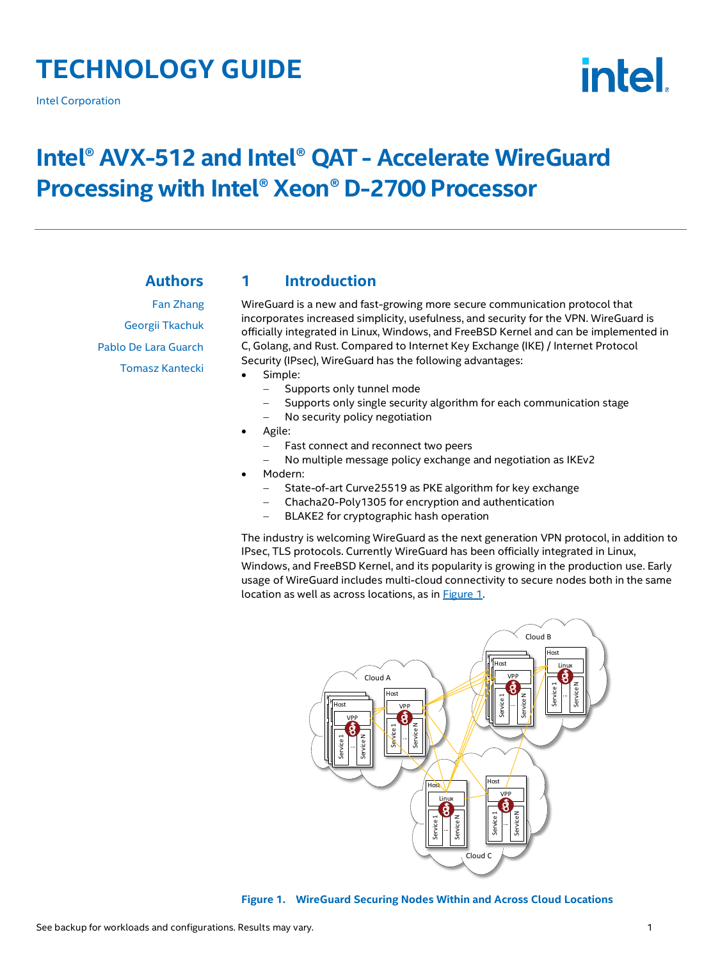# **TECHNOLOGY GUIDE**

Intel Corporation



# **Intel® AVX-512 and Intel® QAT - Accelerate WireGuard Processing with Intel® Xeon® D-2700 Processor**

# **Authors**

Fan Zhang Georgii Tkachuk Pablo De Lara Guarch Tomasz Kantecki

# <span id="page-0-1"></span>**1 Introduction**

WireGuard is a new and fast-growing more secure communication protocol that incorporates increased simplicity, usefulness, and security for the VPN. WireGuard is officially integrated in Linux, Windows, and FreeBSD Kernel and can be implemented in C, Golang, and Rust. Compared to Internet Key Exchange (IKE) / Internet Protocol Security (IPsec), WireGuard has the following advantages:

- Simple:
	- Supports only tunnel mode
	- Supports only single security algorithm for each communication stage
	- No security policy negotiation
- Agile:
	- Fast connect and reconnect two peers
	- − No multiple message policy exchange and negotiation as IKEv2
- Modern:
	- State-of-art Curve25519 as PKE algorithm for key exchange
	- − Chacha20-Poly1305 for encryption and authentication
	- − BLAKE2 for cryptographic hash operation

The industry is welcoming WireGuard as the next generation VPN protocol, in addition to IPsec, TLS protocols. Currently WireGuard has been officially integrated in Linux, Windows, and FreeBSD Kernel, and its popularity is growing in the production use. Early usage of WireGuard includes multi-cloud connectivity to secure nodes both in the same location as well as across locations, as in [Figure](#page-0-0) 1.



<span id="page-0-0"></span>**Figure 1. WireGuard Securing Nodes Within and Across Cloud Locations**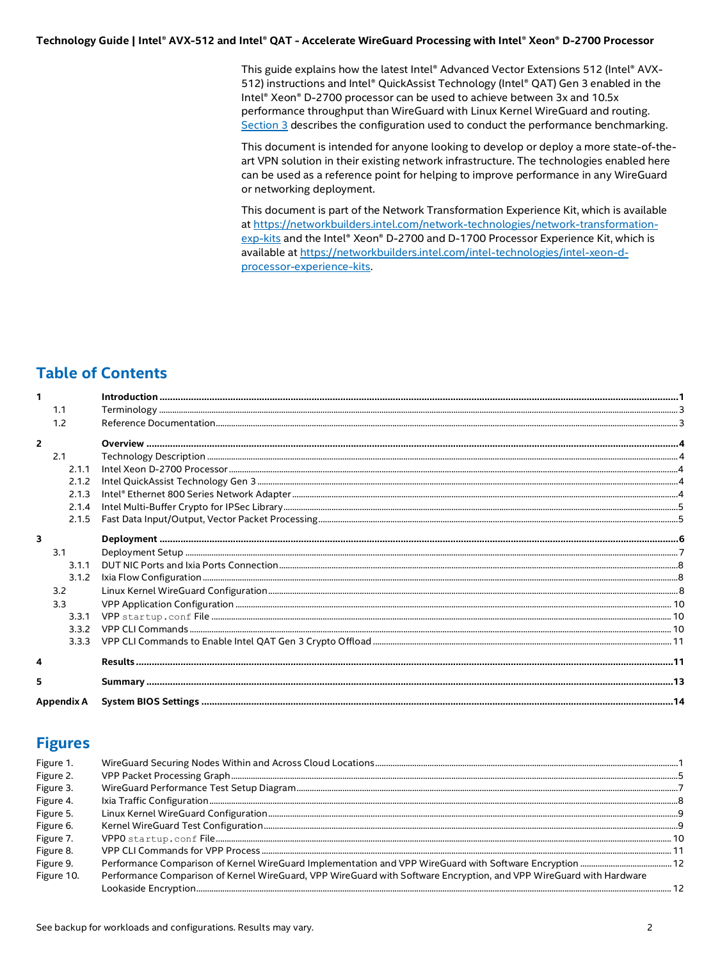This guide explains how the latest Intel® Advanced Vector Extensions 512 (Intel® AVX-512) instructions and Intel® QuickAssist Technology (Intel® QAT) Gen 3 enabled in the Intel® Xeon® D-2700 processor can be used to achieve between 3x and 10.5x performance throughput than WireGuard with Linux Kernel WireGuard and routing. Section 3 describes the configuration used to conduct the performance benchmarking.

This document is intended for anyone looking to develop or deploy a more state-of-theart VPN solution in their existing network infrastructure. The technologies enabled here can be used as a reference point for helping to improve performance in any WireGuard or networking deployment.

This document is part of the Network Transformation Experience Kit, which is available at https://networkbuilders.intel.com/network-technologies/network-transformationexp-kits and the Intel® Xeon® D-2700 and D-1700 Processor Experience Kit, which is available at https://networkbuilders.intel.com/intel-technologies/intel-xeon-dprocessor-experience-kits.

# **Table of Contents**

| 1              |       |  |
|----------------|-------|--|
|                | 1.1   |  |
|                | 1.2   |  |
| $\overline{2}$ |       |  |
|                | 2.1   |  |
|                | 2.1.1 |  |
|                | 2.1.2 |  |
|                | 2.1.3 |  |
|                | 2.1.4 |  |
|                | 2.1.5 |  |
| 3              |       |  |
|                | 3.1   |  |
|                | 3.1.1 |  |
|                | 3.1.2 |  |
|                | 3.2   |  |
|                | 3.3   |  |
|                | 3.3.1 |  |
|                | 3.3.2 |  |
|                | 3.3.3 |  |
| 4              |       |  |
| 5              |       |  |
| Appendix A     |       |  |

# **Figures**

| Figure 1.  |                                                                                                                     |  |
|------------|---------------------------------------------------------------------------------------------------------------------|--|
| Figure 2.  |                                                                                                                     |  |
| Figure 3.  |                                                                                                                     |  |
| Figure 4.  |                                                                                                                     |  |
| Figure 5.  |                                                                                                                     |  |
| Figure 6.  |                                                                                                                     |  |
| Figure 7.  |                                                                                                                     |  |
| Figure 8.  |                                                                                                                     |  |
| Figure 9.  |                                                                                                                     |  |
| Figure 10. | Performance Comparison of Kernel WireGuard, VPP WireGuard with Software Encryption, and VPP WireGuard with Hardware |  |
|            |                                                                                                                     |  |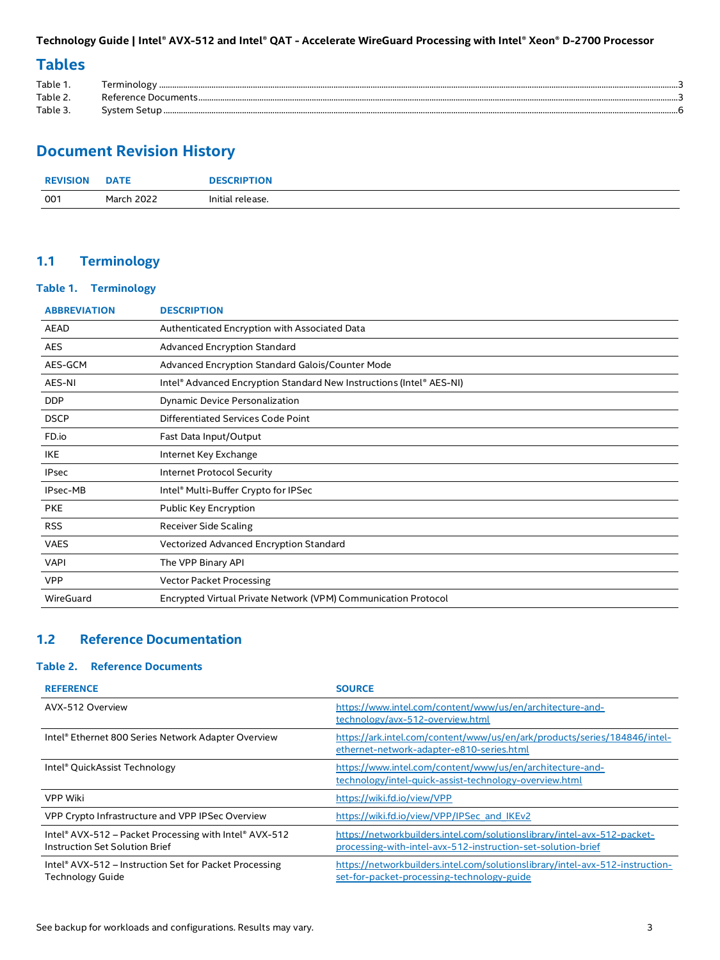# **Tables**

| Table 1. |        |  |
|----------|--------|--|
| Table 2  |        |  |
| Table 3. | Svstem |  |

# **Document Revision History**

| <b>REVISION</b> | <b>DATE</b>       | <b>DESCRIPTION</b> |
|-----------------|-------------------|--------------------|
| 001             | <b>March 2022</b> | Initial release.   |

# <span id="page-2-0"></span>**1.1 Terminology**

#### <span id="page-2-2"></span>**Table 1. Terminology**

| <b>DESCRIPTION</b>                                                   |
|----------------------------------------------------------------------|
| Authenticated Encryption with Associated Data                        |
| Advanced Encryption Standard                                         |
| Advanced Encryption Standard Galois/Counter Mode                     |
| Intel® Advanced Encryption Standard New Instructions (Intel® AES-NI) |
| Dynamic Device Personalization                                       |
| Differentiated Services Code Point                                   |
| Fast Data Input/Output                                               |
| Internet Key Exchange                                                |
| Internet Protocol Security                                           |
| Intel® Multi-Buffer Crypto for IPSec                                 |
| Public Key Encryption                                                |
| Receiver Side Scaling                                                |
| Vectorized Advanced Encryption Standard                              |
| The VPP Binary API                                                   |
| <b>Vector Packet Processing</b>                                      |
| Encrypted Virtual Private Network (VPM) Communication Protocol       |
|                                                                      |

# <span id="page-2-1"></span>**1.2 Reference Documentation**

# <span id="page-2-3"></span>**Table 2. Reference Documents**

| <b>REFERENCE</b>                                                                         | <b>SOURCE</b>                                                                                                                            |
|------------------------------------------------------------------------------------------|------------------------------------------------------------------------------------------------------------------------------------------|
| AVX-512 Overview                                                                         | https://www.intel.com/content/www/us/en/architecture-and-<br>technology/avx-512-overview.html                                            |
| Intel® Ethernet 800 Series Network Adapter Overview                                      | https://ark.intel.com/content/www/us/en/ark/products/series/184846/intel-<br>ethernet-network-adapter-e810-series.html                   |
| Intel® QuickAssist Technology                                                            | https://www.intel.com/content/www/us/en/architecture-and-<br>technology/intel-quick-assist-technology-overview.html                      |
| VPP Wiki                                                                                 | https://wiki.fd.io/view/VPP                                                                                                              |
| VPP Crypto Infrastructure and VPP IPSec Overview                                         | https://wiki.fd.io/view/VPP/IPSec and IKEv2                                                                                              |
| Intel® AVX-512 – Packet Processing with Intel® AVX-512<br>Instruction Set Solution Brief | https://networkbuilders.intel.com/solutionslibrary/intel-avx-512-packet-<br>processing-with-intel-avx-512-instruction-set-solution-brief |
| Intel® AVX-512 – Instruction Set for Packet Processing<br><b>Technology Guide</b>        | https://networkbuilders.intel.com/solutionslibrary/intel-avx-512-instruction-<br>set-for-packet-processing-technology-guide              |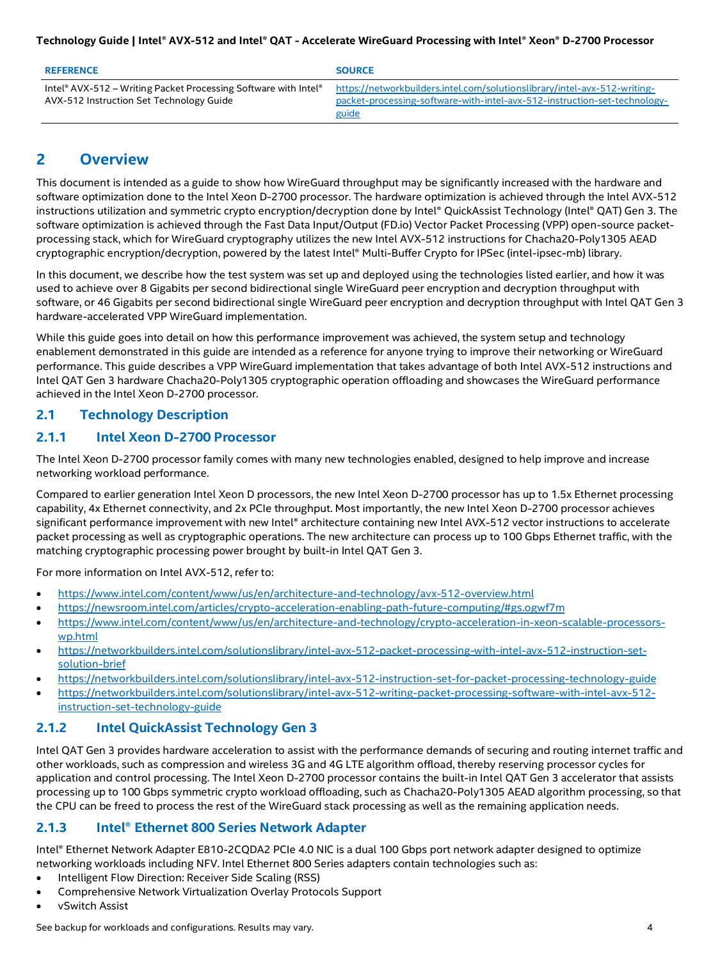| <b>REFERENCE</b>                                                                                            | <b>SOURCE</b>                                                                                                                                                   |
|-------------------------------------------------------------------------------------------------------------|-----------------------------------------------------------------------------------------------------------------------------------------------------------------|
| Intel® AVX-512 – Writing Packet Processing Software with Intel®<br>AVX-512 Instruction Set Technology Guide | https://networkbuilders.intel.com/solutionslibrary/intel-avx-512-writing-<br>packet-processing-software-with-intel-avx-512-instruction-set-technology-<br>guide |

# <span id="page-3-0"></span>**2 Overview**

This document is intended as a guide to show how WireGuard throughput may be significantly increased with the hardware and software optimization done to the Intel Xeon D-2700 processor. The hardware optimization is achieved through the Intel AVX-512 instructions utilization and symmetric crypto encryption/decryption done by Intel® QuickAssist Technology (Intel® QAT) Gen 3. The software optimization is achieved through the Fast Data Input/Output (FD.io) Vector Packet Processing (VPP) open-source packetprocessing stack, which for WireGuard cryptography utilizes the new Intel AVX-512 instructions for Chacha20-Poly1305 AEAD cryptographic encryption/decryption, powered by the latest Intel® Multi-Buffer Crypto for IPSec (intel-ipsec-mb) library.

In this document, we describe how the test system was set up and deployed using the technologies listed earlier, and how it was used to achieve over 8 Gigabits per second bidirectional single WireGuard peer encryption and decryption throughput with software, or 46 Gigabits per second bidirectional single WireGuard peer encryption and decryption throughput with Intel QAT Gen 3 hardware-accelerated VPP WireGuard implementation.

While this guide goes into detail on how this performance improvement was achieved, the system setup and technology enablement demonstrated in this guide are intended as a reference for anyone trying to improve their networking or WireGuard performance. This guide describes a VPP WireGuard implementation that takes advantage of both Intel AVX-512 instructions and Intel QAT Gen 3 hardware Chacha20-Poly1305 cryptographic operation offloading and showcases the WireGuard performance achieved in the Intel Xeon D-2700 processor.

# <span id="page-3-1"></span>**2.1 Technology Description**

# <span id="page-3-2"></span>**2.1.1 Intel Xeon D-2700 Processor**

The Intel Xeon D-2700 processor family comes with many new technologies enabled, designed to help improve and increase networking workload performance.

Compared to earlier generation Intel Xeon D processors, the new Intel Xeon D-2700 processor has up to 1.5x Ethernet processing capability, 4x Ethernet connectivity, and 2x PCIe throughput. Most importantly, the new Intel Xeon D-2700 processor achieves significant performance improvement with new Intel® architecture containing new Intel AVX-512 vector instructions to accelerate packet processing as well as cryptographic operations. The new architecture can process up to 100 Gbps Ethernet traffic, with the matching cryptographic processing power brought by built-in Intel QAT Gen 3.

For more information on Intel AVX-512, refer to:

- <https://www.intel.com/content/www/us/en/architecture-and-technology/avx-512-overview.html>
- <https://newsroom.intel.com/articles/crypto-acceleration-enabling-path-future-computing/#gs.ogwf7m>
- [https://www.intel.com/content/www/us/en/architecture-and-technology/crypto-acceleration-in-xeon-scalable-processors](https://www.intel.com/content/www/us/en/architecture-and-technology/crypto-acceleration-in-xeon-scalable-processors-wp.html)[wp.html](https://www.intel.com/content/www/us/en/architecture-and-technology/crypto-acceleration-in-xeon-scalable-processors-wp.html)
- [https://networkbuilders.intel.com/solutionslibrary/intel-avx-512-packet-processing-with-intel-avx-512-instruction-set](https://networkbuilders.intel.com/solutionslibrary/intel-avx-512-packet-processing-with-intel-avx-512-instruction-set-solution-brief)[solution-brief](https://networkbuilders.intel.com/solutionslibrary/intel-avx-512-packet-processing-with-intel-avx-512-instruction-set-solution-brief)
- <https://networkbuilders.intel.com/solutionslibrary/intel-avx-512-instruction-set-for-packet-processing-technology-guide>
- [https://networkbuilders.intel.com/solutionslibrary/intel-avx-512-writing-packet-processing-software-with-intel-avx-512](https://networkbuilders.intel.com/solutionslibrary/intel-avx-512-writing-packet-processing-software-with-intel-avx-512-instruction-set-technology-guide) [instruction-set-technology-guide](https://networkbuilders.intel.com/solutionslibrary/intel-avx-512-writing-packet-processing-software-with-intel-avx-512-instruction-set-technology-guide)

# <span id="page-3-3"></span>**2.1.2 Intel QuickAssist Technology Gen 3**

Intel QAT Gen 3 provides hardware acceleration to assist with the performance demands of securing and routing internet traffic and other workloads, such as compression and wireless 3G and 4G LTE algorithm offload, thereby reserving processor cycles for application and control processing. The Intel Xeon D-2700 processor contains the built-in Intel QAT Gen 3 accelerator that assists processing up to 100 Gbps symmetric crypto workload offloading, such as Chacha20-Poly1305 AEAD algorithm processing, so that the CPU can be freed to process the rest of the WireGuard stack processing as well as the remaining application needs.

## <span id="page-3-4"></span>**2.1.3 Intel® Ethernet 800 Series Network Adapter**

Intel® Ethernet Network Adapter E810-2CQDA2 PCIe 4.0 NIC is a dual 100 Gbps port network adapter designed to optimize networking workloads including NFV. Intel Ethernet 800 Series adapters contain technologies such as:

- Intelligent Flow Direction: Receiver Side Scaling (RSS)
- Comprehensive Network Virtualization Overlay Protocols Support
- vSwitch Assist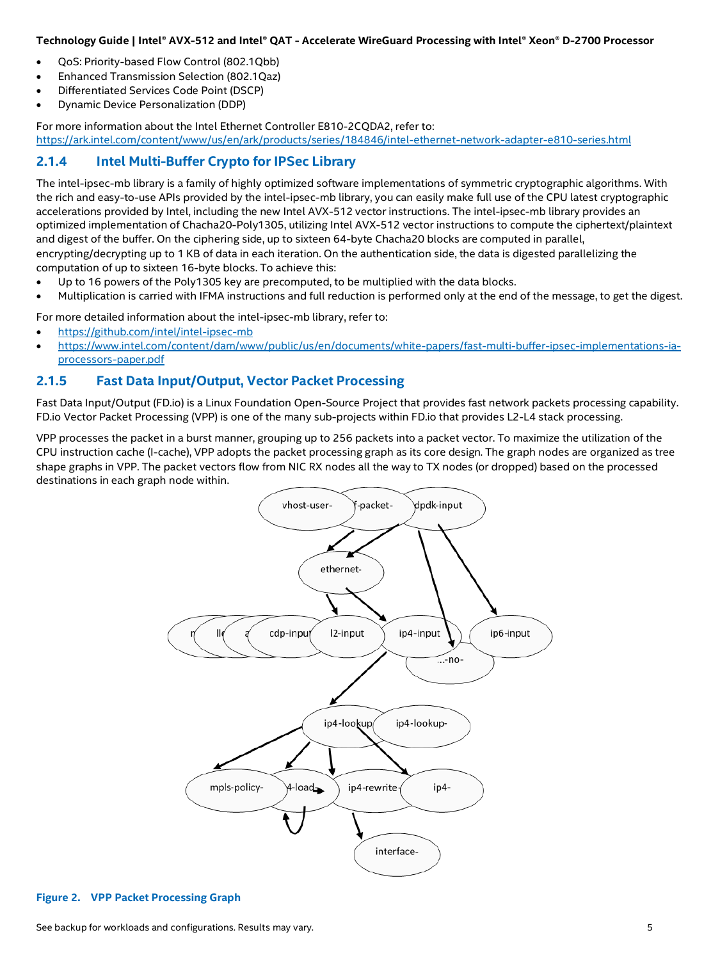- QoS: Priority-based Flow Control (802.1Qbb)
- Enhanced Transmission Selection (802.1Qaz)
- Differentiated Services Code Point (DSCP)
- Dynamic Device Personalization (DDP)

For more information about the Intel Ethernet Controller E810-2CQDA2, refer to: <https://ark.intel.com/content/www/us/en/ark/products/series/184846/intel-ethernet-network-adapter-e810-series.html>

# <span id="page-4-0"></span>**2.1.4 Intel Multi-Buffer Crypto for IPSec Library**

The intel-ipsec-mb library is a family of highly optimized software implementations of symmetric cryptographic algorithms. With the rich and easy-to-use APIs provided by the intel-ipsec-mb library, you can easily make full use of the CPU latest cryptographic accelerations provided by Intel, including the new Intel AVX-512 vector instructions. The intel-ipsec-mb library provides an optimized implementation of Chacha20-Poly1305, utilizing Intel AVX-512 vector instructions to compute the ciphertext/plaintext and digest of the buffer. On the ciphering side, up to sixteen 64-byte Chacha20 blocks are computed in parallel, encrypting/decrypting up to 1 KB of data in each iteration. On the authentication side, the data is digested parallelizing the computation of up to sixteen 16-byte blocks. To achieve this:

- Up to 16 powers of the Poly1305 key are precomputed, to be multiplied with the data blocks.
- Multiplication is carried with IFMA instructions and full reduction is performed only at the end of the message, to get the digest.

For more detailed information about the intel-ipsec-mb library, refer to:

- <https://github.com/intel/intel-ipsec-mb>
- [https://www.intel.com/content/dam/www/public/us/en/documents/white-papers/fast-multi-buffer-ipsec-implementations-ia](https://www.intel.com/content/dam/www/public/us/en/documents/white-papers/fast-multi-buffer-ipsec-implementations-ia-processors-paper.pdf)[processors-paper.pdf](https://www.intel.com/content/dam/www/public/us/en/documents/white-papers/fast-multi-buffer-ipsec-implementations-ia-processors-paper.pdf)

#### <span id="page-4-1"></span>**2.1.5 Fast Data Input/Output, Vector Packet Processing**

Fast Data Input/Output (FD.io) is a Linux Foundation Open-Source Project that provides fast network packets processing capability. FD.io Vector Packet Processing (VPP) is one of the many sub-projects within FD.io that provides L2-L4 stack processing.

VPP processes the packet in a burst manner, grouping up to 256 packets into a packet vector. To maximize the utilization of the CPU instruction cache (I-cache), VPP adopts the packet processing graph as its core design. The graph nodes are organized as tree shape graphs in VPP. The packet vectors flow from NIC RX nodes all the way to TX nodes (or dropped) based on the processed destinations in each graph node within.



#### <span id="page-4-2"></span>**Figure 2. VPP Packet Processing Graph**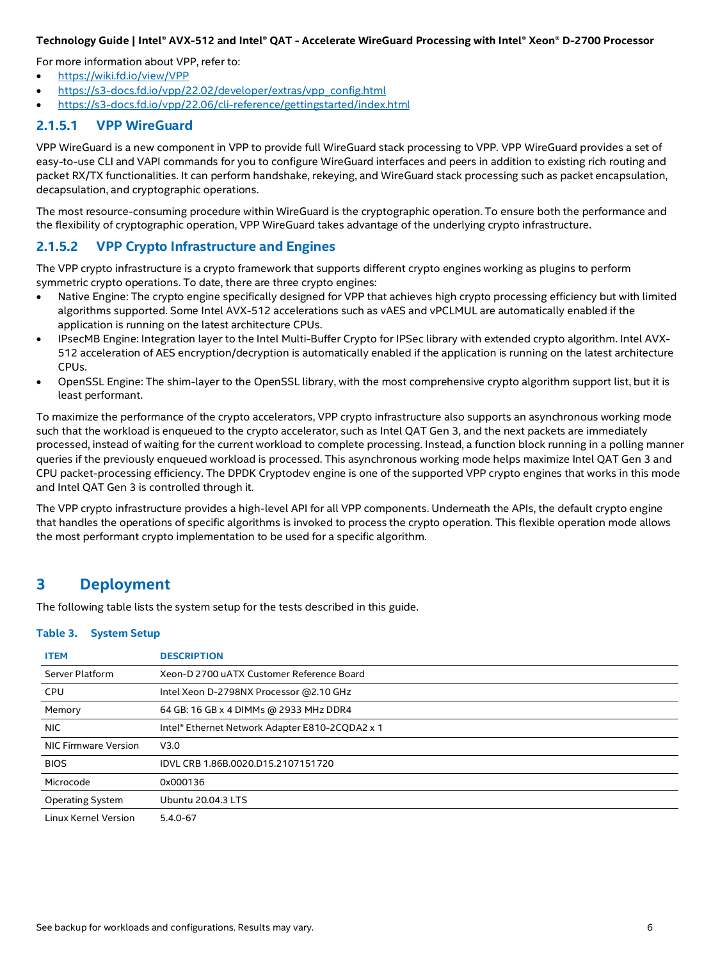For more information about VPP, refer to:

- <https://wiki.fd.io/view/VPP>
- [https://s3-docs.fd.io/vpp/22.02/developer/extras/vpp\\_config.html](https://s3-docs.fd.io/vpp/22.02/developer/extras/vpp_config.html)
- <https://s3-docs.fd.io/vpp/22.06/cli-reference/gettingstarted/index.html>

### **2.1.5.1 VPP WireGuard**

VPP WireGuard is a new component in VPP to provide full WireGuard stack processing to VPP. VPP WireGuard provides a set of easy-to-use CLI and VAPI commands for you to configure WireGuard interfaces and peers in addition to existing rich routing and packet RX/TX functionalities. It can perform handshake, rekeying, and WireGuard stack processing such as packet encapsulation, decapsulation, and cryptographic operations.

The most resource-consuming procedure within WireGuard is the cryptographic operation. To ensure both the performance and the flexibility of cryptographic operation, VPP WireGuard takes advantage of the underlying crypto infrastructure.

## **2.1.5.2 VPP Crypto Infrastructure and Engines**

The VPP crypto infrastructure is a crypto framework that supports different crypto engines working as plugins to perform symmetric crypto operations. To date, there are three crypto engines:

- Native Engine: The crypto engine specifically designed for VPP that achieves high crypto processing efficiency but with limited algorithms supported. Some Intel AVX-512 accelerations such as vAES and vPCLMUL are automatically enabled if the application is running on the latest architecture CPUs.
- IPsecMB Engine: Integration layer to the Intel Multi-Buffer Crypto for IPSec library with extended crypto algorithm. Intel AVX-512 acceleration of AES encryption/decryption is automatically enabled if the application is running on the latest architecture CPUs.
- OpenSSL Engine: The shim-layer to the OpenSSL library, with the most comprehensive crypto algorithm support list, but it is least performant.

To maximize the performance of the crypto accelerators, VPP crypto infrastructure also supports an asynchronous working mode such that the workload is enqueued to the crypto accelerator, such as Intel QAT Gen 3, and the next packets are immediately processed, instead of waiting for the current workload to complete processing. Instead, a function block running in a polling manner queries if the previously enqueued workload is processed. This asynchronous working mode helps maximize Intel QAT Gen 3 and CPU packet-processing efficiency. The DPDK Cryptodev engine is one of the supported VPP crypto engines that works in this mode and Intel QAT Gen 3 is controlled through it.

The VPP crypto infrastructure provides a high-level API for all VPP components. Underneath the APIs, the default crypto engine that handles the operations of specific algorithms is invoked to process the crypto operation. This flexible operation mode allows the most performant crypto implementation to be used for a specific algorithm.

# <span id="page-5-0"></span>**3 Deployment**

<span id="page-5-1"></span>The following table lists the system setup for the tests described in this guide.

#### **Table 3. System Setup**

| <b>ITEM</b>             | <b>DESCRIPTION</b>                              |
|-------------------------|-------------------------------------------------|
| Server Platform         | Xeon-D 2700 uATX Customer Reference Board       |
| <b>CPU</b>              | Intel Xeon D-2798NX Processor @2.10 GHz         |
| Memory                  | 64 GB: 16 GB x 4 DIMMs @ 2933 MHz DDR4          |
| NIC.                    | Intel® Ethernet Network Adapter E810-2CQDA2 x 1 |
| NIC Firmware Version    | V3.0                                            |
| <b>BIOS</b>             | IDVL CRB 1.86B.0020.D15.2107151720              |
| Microcode               | 0x000136                                        |
| <b>Operating System</b> | <b>Ubuntu 20.04.3 LTS</b>                       |
| Linux Kernel Version    | $5.4.0 - 67$                                    |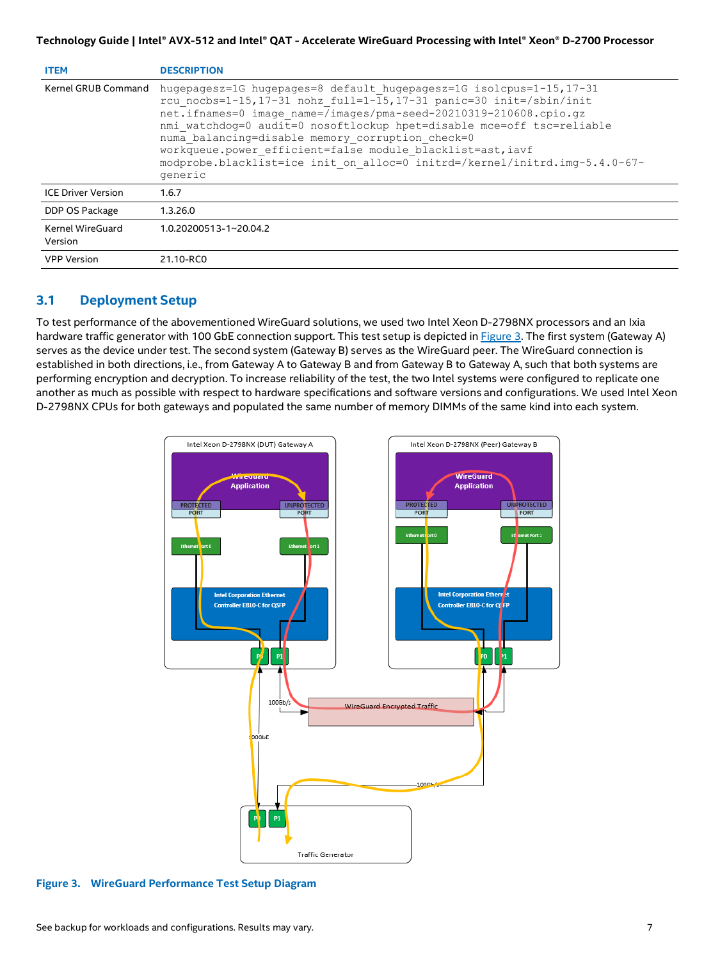|  | Technology Guide   Intel® AVX-512 and Intel® QAT - Accelerate WireGuard Processing with Intel® Xeon® D-2700 Processor |  |
|--|-----------------------------------------------------------------------------------------------------------------------|--|
|  |                                                                                                                       |  |

| <b>ITEM</b>                 | <b>DESCRIPTION</b>                                                                                                                                                                                                                                                                                                                                                                                                                                                                                  |
|-----------------------------|-----------------------------------------------------------------------------------------------------------------------------------------------------------------------------------------------------------------------------------------------------------------------------------------------------------------------------------------------------------------------------------------------------------------------------------------------------------------------------------------------------|
| Kernel GRUB Command         | hugepagesz=1G hugepages=8 default hugepagesz=1G isolcpus=1-15, 17-31<br>rcu nocbs=1-15,17-31 nohz full=1-15,17-31 panic=30 init=/sbin/init<br>net.ifnames=0 image name=/images/pma-seed-20210319-210608.cpio.qz<br>nmi watchdog=0 audit=0 nosoftlockup hpet=disable mce=off tsc=reliable<br>numa balancing=disable memory corruption check=0<br>workqueue.power efficient=false module blacklist=ast, iavf<br>modprobe.blacklist=ice init on alloc=0 initrd=/kernel/initrd.imq-5.4.0-67-<br>generic |
| <b>ICE Driver Version</b>   | 1.6.7                                                                                                                                                                                                                                                                                                                                                                                                                                                                                               |
| DDP OS Package              | 1.3.26.0                                                                                                                                                                                                                                                                                                                                                                                                                                                                                            |
| Kernel WireGuard<br>Version | 1.0.20200513-1~20.04.2                                                                                                                                                                                                                                                                                                                                                                                                                                                                              |
| <b>VPP Version</b>          | 21.10-RC0                                                                                                                                                                                                                                                                                                                                                                                                                                                                                           |

# <span id="page-6-0"></span>**3.1 Deployment Setup**

To test performance of the abovementioned WireGuard solutions, we used two Intel Xeon D-2798NX processors and an Ixia hardware traffic generator with 100 GbE connection support. This test setup is depicted in [Figure](#page-6-1) 3. The first system (Gateway A) serves as the device under test. The second system (Gateway B) serves as the WireGuard peer. The WireGuard connection is established in both directions, i.e., from Gateway A to Gateway B and from Gateway B to Gateway A, such that both systems are performing encryption and decryption. To increase reliability of the test, the two Intel systems were configured to replicate one another as much as possible with respect to hardware specifications and software versions and configurations. We used Intel Xeon D-2798NX CPUs for both gateways and populated the same number of memory DIMMs of the same kind into each system.



<span id="page-6-1"></span>**Figure 3. WireGuard Performance Test Setup Diagram**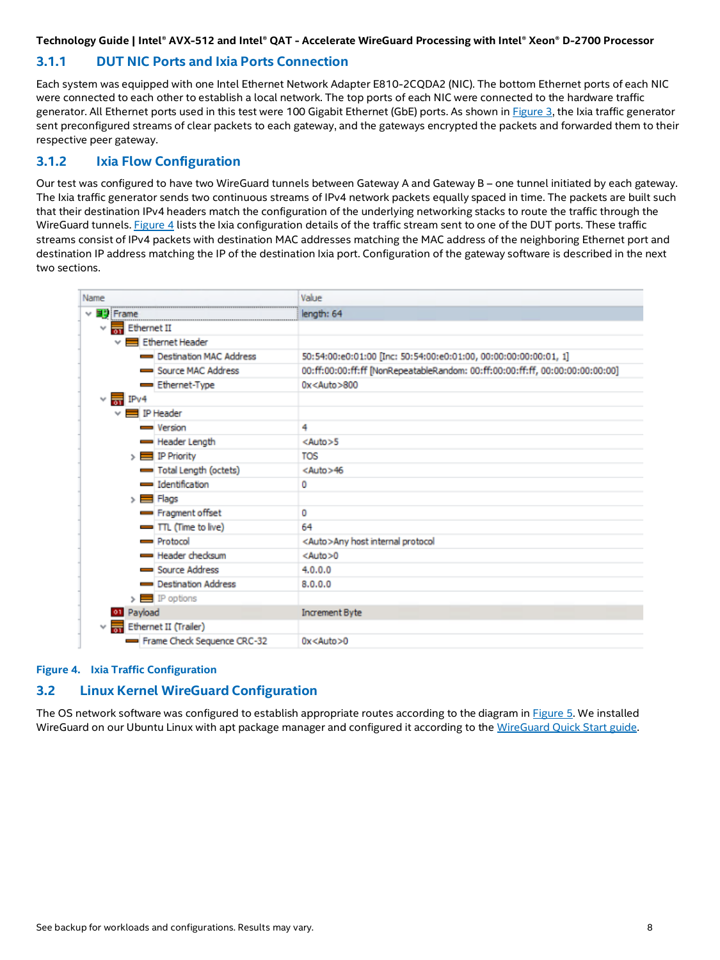# <span id="page-7-0"></span>**3.1.1 DUT NIC Ports and Ixia Ports Connection**

Each system was equipped with one Intel Ethernet Network Adapter E810-2CQDA2 (NIC). The bottom Ethernet ports of each NIC were connected to each other to establish a local network. The top ports of each NIC were connected to the hardware traffic generator. All Ethernet ports used in this test were 100 Gigabit Ethernet (GbE) ports. As shown in [Figure](#page-6-1) 3, the Ixia traffic generator sent preconfigured streams of clear packets to each gateway, and the gateways encrypted the packets and forwarded them to their respective peer gateway.

## <span id="page-7-1"></span>**3.1.2 Ixia Flow Configuration**

Our test was configured to have two WireGuard tunnels between Gateway A and Gateway B – one tunnel initiated by each gateway. The Ixia traffic generator sends two continuous streams of IPv4 network packets equally spaced in time. The packets are built such that their destination IPv4 headers match the configuration of the underlying networking stacks to route the traffic through the WireGuard tunnels[. Figure](#page-7-3) 4 lists the Ixia configuration details of the traffic stream sent to one of the DUT ports. These traffic streams consist of IPv4 packets with destination MAC addresses matching the MAC address of the neighboring Ethernet port and destination IP address matching the IP of the destination Ixia port. Configuration of the gateway software is described in the next two sections.

| Name                                              | Value                                                                         |  |
|---------------------------------------------------|-------------------------------------------------------------------------------|--|
| ▽ 量も Frame                                        | length: 64                                                                    |  |
| Ethernet II<br>$\checkmark$                       |                                                                               |  |
| Ethernet Header                                   |                                                                               |  |
| Destination MAC Address                           | 50:54:00:e0:01:00 [Inc: 50:54:00:e0:01:00, 00:00:00:00:00:01, 1]              |  |
| Source MAC Address                                | 00:ff:00:00:ff:ff [NonRepeatableRandom: 00:ff:00:00:ff:ff, 00:00:00:00:00:00] |  |
| Ethernet-Type                                     | 0x <auto>800</auto>                                                           |  |
| $\times \frac{1}{61}$ IPv4                        |                                                                               |  |
| $\times \blacksquare$ IP Header                   |                                                                               |  |
| <b>Wersion</b>                                    | 4                                                                             |  |
| Header Length                                     | $<$ Auto $>5$                                                                 |  |
| $\triangleright$ $\blacksquare$ IP Priority       | TOS                                                                           |  |
| Total Length (octets)                             | <auto>46</auto>                                                               |  |
| dentification                                     | Ō                                                                             |  |
| $\triangleright$ $\blacksquare$ Flags             |                                                                               |  |
| Fragment offset                                   | 0                                                                             |  |
| $\blacksquare$ TTL (Time to live)                 | 64                                                                            |  |
| Protocol                                          | <auto>Any host internal protocol</auto>                                       |  |
| Header checksum                                   | $<$ Auto $>0$                                                                 |  |
| Source Address                                    | 4.0.0.0                                                                       |  |
| Destination Address                               | 8.0.0.0                                                                       |  |
| $\triangleright$ $\blacksquare$ IP options        |                                                                               |  |
| <b>01</b> Payload                                 | <b>Increment Byte</b>                                                         |  |
| $\vee$ $\frac{1}{\sqrt{2}}$ Ethernet II (Trailer) |                                                                               |  |
| Frame Check Sequence CRC-32                       | $0x<$ Auto $>0$                                                               |  |

#### <span id="page-7-3"></span>**Figure 4. Ixia Traffic Configuration**

# <span id="page-7-2"></span>**3.2 Linux Kernel WireGuard Configuration**

The OS network software was configured to establish appropriate routes according to the diagram in [Figure](#page-8-0) 5. We installed WireGuard on our Ubuntu Linux with apt package manager and configured it according to the [WireGuard Quick Start](https://www.wireguard.com/quickstart/) guide.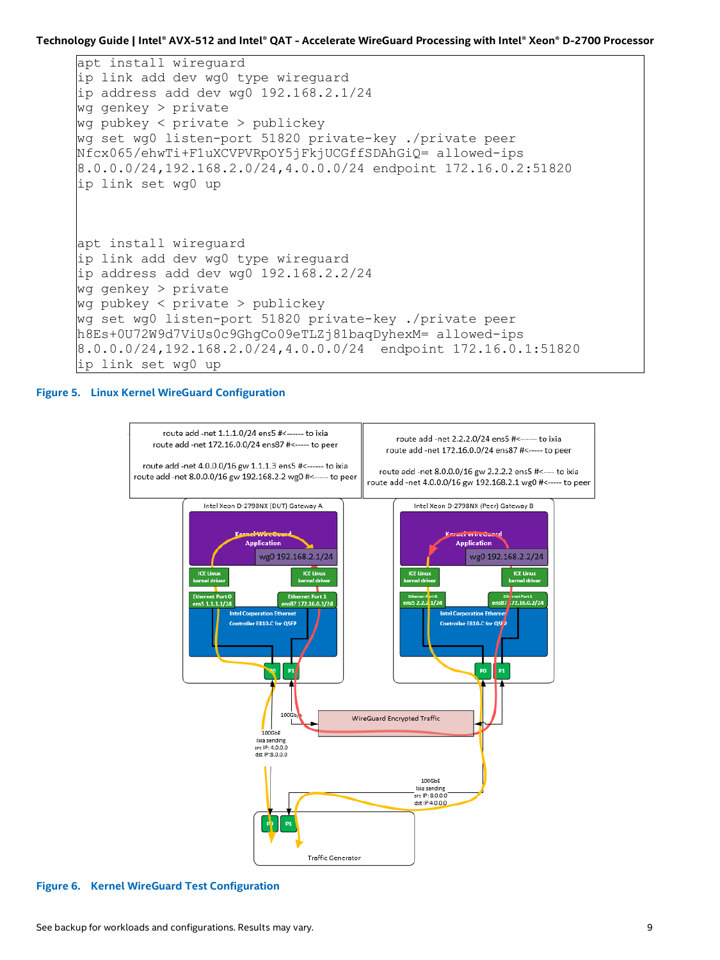```
apt install wireguard
ip link add dev wg0 type wireguard
ip address add dev wg0 192.168.2.1/24
wg genkey > private
wg pubkey < private > publickey
wg set wg0 listen-port 51820 private-key ./private peer 
Nfcx065/ehwTi+F1uXCVPVRpOY5jFkjUCGffSDAhGiQ= allowed-ips 
8.0.0.0/24,192.168.2.0/24,4.0.0.0/24 endpoint 172.16.0.2:51820
ip link set wg0 up
apt install wireguard
ip link add dev wg0 type wireguard
ip address add dev wg0 192.168.2.2/24
wg genkey > private
wg pubkey < private > publickey
wg set wg0 listen-port 51820 private-key ./private peer 
h8Es+0U72W9d7ViUs0c9GhgCo09eTLZj81baqDyhexM= allowed-ips 
8.0.0.0/24,192.168.2.0/24,4.0.0.0/24 endpoint 172.16.0.1:51820
ip link set wg0 up
```
#### <span id="page-8-0"></span>**Figure 5. Linux Kernel WireGuard Configuration**



<span id="page-8-1"></span>**Figure 6. Kernel WireGuard Test Configuration**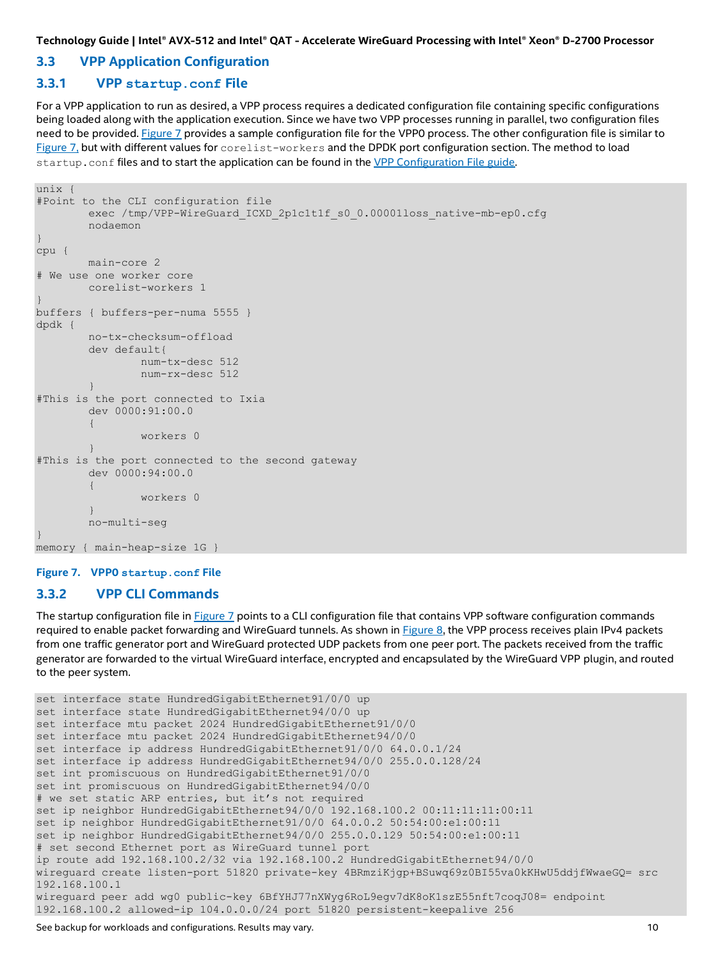## <span id="page-9-0"></span>**3.3 VPP Application Configuration**

#### <span id="page-9-1"></span>**3.3.1 VPP startup.conf File**

For a VPP application to run as desired, a VPP process requires a dedicated configuration file containing specific configurations being loaded along with the application execution. Since we have two VPP processes running in parallel, two configuration files need to be provided[. Figure](#page-9-3) 7 provides a sample configuration file for the VPP0 process. The other configuration file is similar to [Figure](#page-9-3) 7, but with different values for corelist-workers and the DPDK port configuration section. The method to load startup.conf files and to start the application can be found in the [VPP Configuration File guide.](https://my-vpp-docs.readthedocs.io/en/latest/gettingstarted/users/configuring/startup.html)

```
unix {
#Point to the CLI configuration file
        exec /tmp/VPP-WireGuard_ICXD_2p1c1t1f_s0_0.00001loss_native-mb-ep0.cfg
        nodaemon
}
cpu {
        main-core 2
# We use one worker core
        corelist-workers 1
}
buffers { buffers-per-numa 5555 }
dpdk {
        no-tx-checksum-offload
        dev default{
               num-tx-desc 512
       num-rx-desc 512<br>}
 }
#This is the port connected to Ixia 
        dev 0000:91:00.0
 {
         workers 0
 }
#This is the port connected to the second gateway
        dev 0000:94:00.0
 {
                workers 0
 }
        no-multi-seg
}
memory { main-heap-size 1G }
```
#### <span id="page-9-3"></span>**Figure 7. VPP0 startup.conf File**

#### <span id="page-9-2"></span>**3.3.2 VPP CLI Commands**

The startup configuration file in [Figure](#page-9-3) 7 points to a CLI configuration file that contains VPP software configuration commands required to enable packet forwarding and WireGuard tunnels. As shown i[n Figure](#page-10-2) 8, the VPP process receives plain IPv4 packets from one traffic generator port and WireGuard protected UDP packets from one peer port. The packets received from the traffic generator are forwarded to the virtual WireGuard interface, encrypted and encapsulated by the WireGuard VPP plugin, and routed to the peer system.

```
set interface state HundredGigabitEthernet91/0/0 up
set interface state HundredGigabitEthernet94/0/0 up
set interface mtu packet 2024 HundredGigabitEthernet91/0/0
set interface mtu packet 2024 HundredGigabitEthernet94/0/0
set interface ip address HundredGigabitEthernet91/0/0 64.0.0.1/24
set interface ip address HundredGigabitEthernet94/0/0 255.0.0.128/24
set int promiscuous on HundredGigabitEthernet91/0/0
set int promiscuous on HundredGigabitEthernet94/0/0
# we set static ARP entries, but it's not required
set ip neighbor HundredGigabitEthernet94/0/0 192.168.100.2 00:11:11:11:00:11
set ip neighbor HundredGigabitEthernet91/0/0 64.0.0.2 50:54:00:e1:00:11
set ip neighbor HundredGigabitEthernet94/0/0 255.0.0.129 50:54:00:e1:00:11
# set second Ethernet port as WireGuard tunnel port
ip route add 192.168.100.2/32 via 192.168.100.2 HundredGigabitEthernet94/0/0
wireguard create listen-port 51820 private-key 4BRmziKjgp+BSuwq69z0BI55va0kKHwU5ddjfWwaeGQ= src 
192.168.100.1
wireguard peer add wg0 public-key 6BfYHJ77nXWyg6RoL9egv7dK8oK1szE55nft7coqJ08= endpoint 
192.168.100.2 allowed-ip 104.0.0.0/24 port 51820 persistent-keepalive 256
```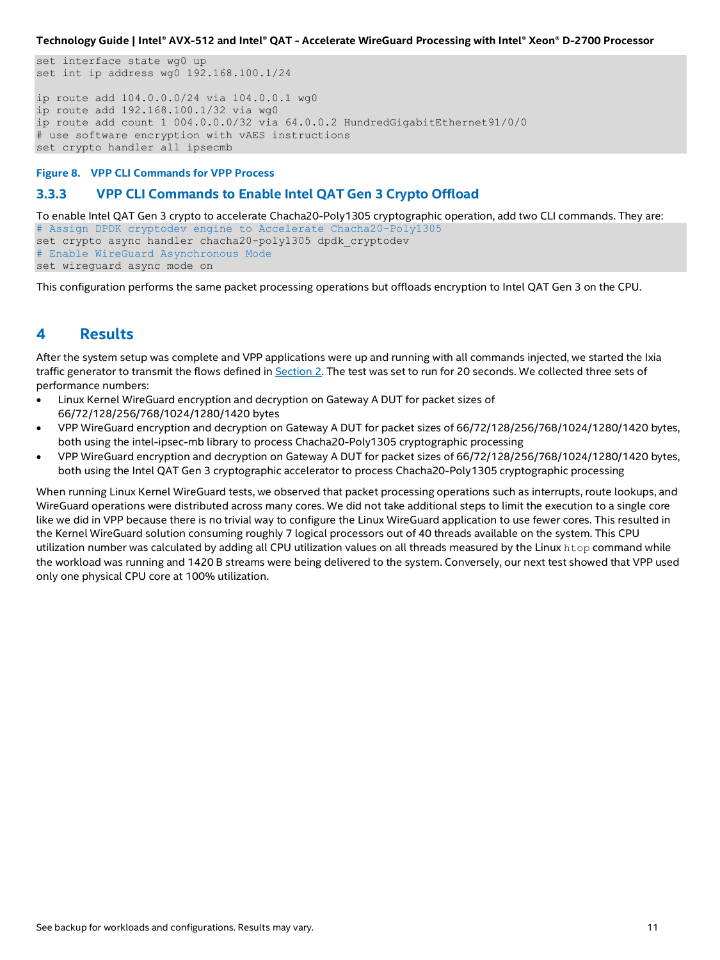set interface state wg0 up set int ip address wg0 192.168.100.1/24 ip route add 104.0.0.0/24 via 104.0.0.1 wg0 ip route add 192.168.100.1/32 via wg0 ip route add count 1 004.0.0.0/32 via 64.0.0.2 HundredGigabitEthernet91/0/0 # use software encryption with vAES instructions set crypto handler all ipsecmb

<span id="page-10-2"></span>**Figure 8. VPP CLI Commands for VPP Process**

# <span id="page-10-0"></span>**3.3.3 VPP CLI Commands to Enable Intel QAT Gen 3 Crypto Offload**

To enable Intel QAT Gen 3 crypto to accelerate Chacha20-Poly1305 cryptographic operation, add two CLI commands. They are: # Assign DPDK cryptodev engine to Accelerate Chacha20-Poly1305 set crypto async handler chacha20-poly1305 dpdk\_cryptodev # Enable WireGuard Asynchronous Mode set wireguard async mode on

This configuration performs the same packet processing operations but offloads encryption to Intel QAT Gen 3 on the CPU.

# <span id="page-10-1"></span>**4 Results**

After the system setup was complete and VPP applications were up and running with all commands injected, we started the Ixia traffic generator to transmit the flows defined in Section [2.](#page-3-0) The test was set to run for 20 seconds. We collected three sets of performance numbers:

- Linux Kernel WireGuard encryption and decryption on Gateway A DUT for packet sizes of 66/72/128/256/768/1024/1280/1420 bytes
- VPP WireGuard encryption and decryption on Gateway A DUT for packet sizes of 66/72/128/256/768/1024/1280/1420 bytes, both using the intel-ipsec-mb library to process Chacha20-Poly1305 cryptographic processing
- VPP WireGuard encryption and decryption on Gateway A DUT for packet sizes of 66/72/128/256/768/1024/1280/1420 bytes, both using the Intel QAT Gen 3 cryptographic accelerator to process Chacha20-Poly1305 cryptographic processing

When running Linux Kernel WireGuard tests, we observed that packet processing operations such as interrupts, route lookups, and WireGuard operations were distributed across many cores. We did not take additional steps to limit the execution to a single core like we did in VPP because there is no trivial way to configure the Linux WireGuard application to use fewer cores. This resulted in the Kernel WireGuard solution consuming roughly 7 logical processors out of 40 threads available on the system. This CPU utilization number was calculated by adding all CPU utilization values on all threads measured by the Linux htop command while the workload was running and 1420 B streams were being delivered to the system. Conversely, our next test showed that VPP used only one physical CPU core at 100% utilization.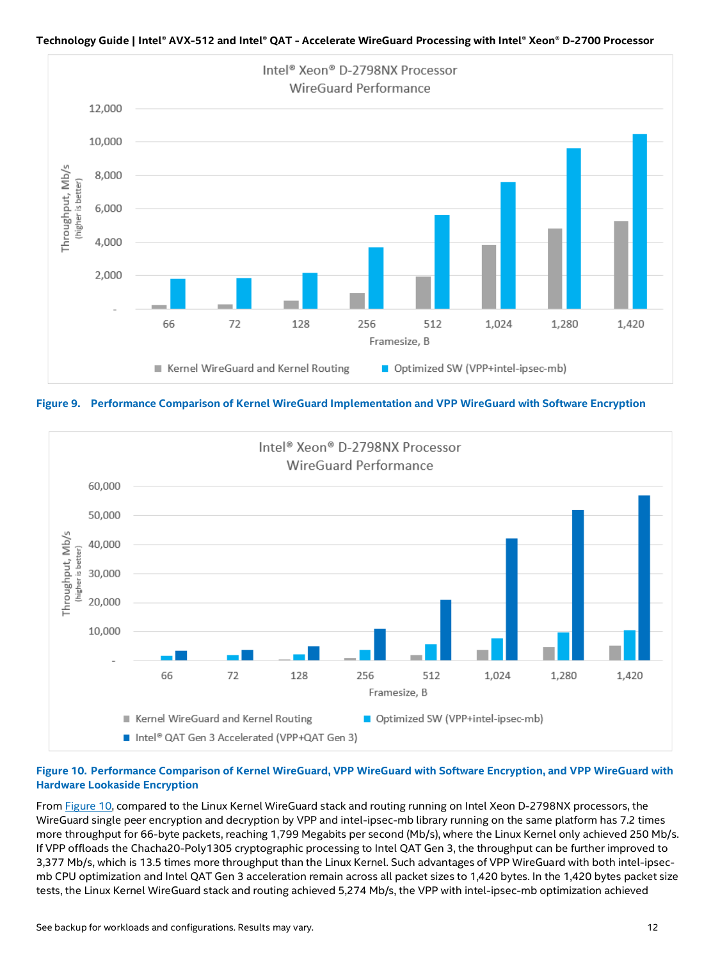

<span id="page-11-0"></span>**Figure 9. Performance Comparison of Kernel WireGuard Implementation and VPP WireGuard with Software Encryption**



#### <span id="page-11-1"></span>**Figure 10. Performance Comparison of Kernel WireGuard, VPP WireGuard with Software Encryption, and VPP WireGuard with Hardware Lookaside Encryption**

Fro[m Figure](#page-11-1) 10, compared to the Linux Kernel WireGuard stack and routing running on Intel Xeon D-2798NX processors, the WireGuard single peer encryption and decryption by VPP and intel-ipsec-mb library running on the same platform has 7.2 times more throughput for 66-byte packets, reaching 1,799 Megabits per second (Mb/s), where the Linux Kernel only achieved 250 Mb/s. If VPP offloads the Chacha20-Poly1305 cryptographic processing to Intel QAT Gen 3, the throughput can be further improved to 3,377 Mb/s, which is 13.5 times more throughput than the Linux Kernel. Such advantages of VPP WireGuard with both intel-ipsecmb CPU optimization and Intel QAT Gen 3 acceleration remain across all packet sizes to 1,420 bytes. In the 1,420 bytes packet size tests, the Linux Kernel WireGuard stack and routing achieved 5,274 Mb/s, the VPP with intel-ipsec-mb optimization achieved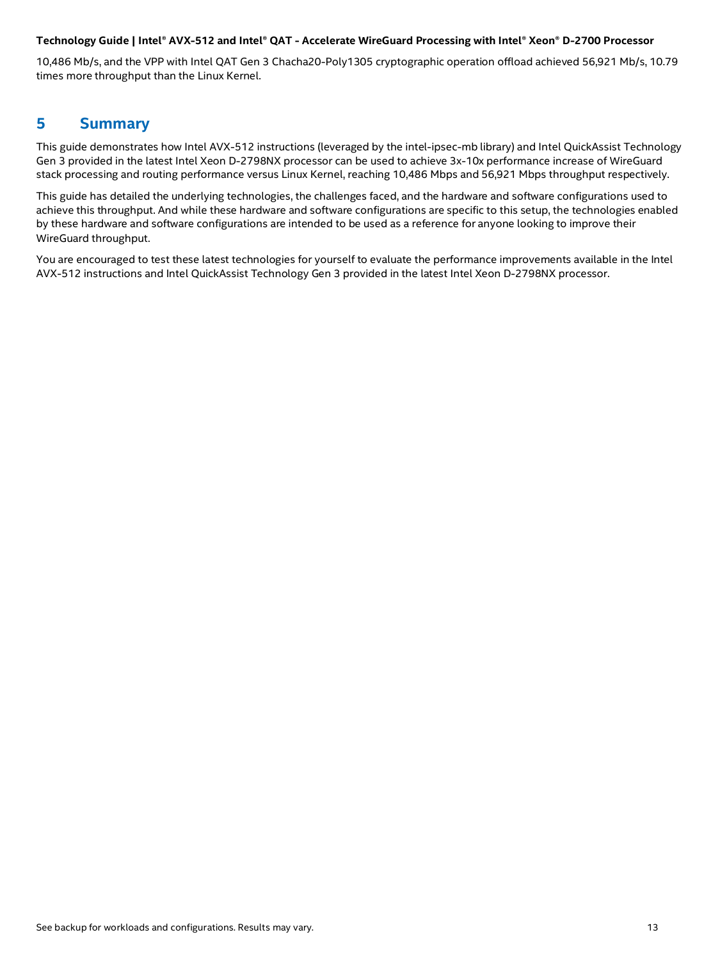10,486 Mb/s, and the VPP with Intel QAT Gen 3 Chacha20-Poly1305 cryptographic operation offload achieved 56,921 Mb/s, 10.79 times more throughput than the Linux Kernel.

# <span id="page-12-0"></span>**5 Summary**

This guide demonstrates how Intel AVX-512 instructions (leveraged by the intel-ipsec-mb library) and Intel QuickAssist Technology Gen 3 provided in the latest Intel Xeon D-2798NX processor can be used to achieve 3x-10x performance increase of WireGuard stack processing and routing performance versus Linux Kernel, reaching 10,486 Mbps and 56,921 Mbps throughput respectively.

This guide has detailed the underlying technologies, the challenges faced, and the hardware and software configurations used to achieve this throughput. And while these hardware and software configurations are specific to this setup, the technologies enabled by these hardware and software configurations are intended to be used as a reference for anyone looking to improve their WireGuard throughput.

You are encouraged to test these latest technologies for yourself to evaluate the performance improvements available in the Intel AVX-512 instructions and Intel QuickAssist Technology Gen 3 provided in the latest Intel Xeon D-2798NX processor.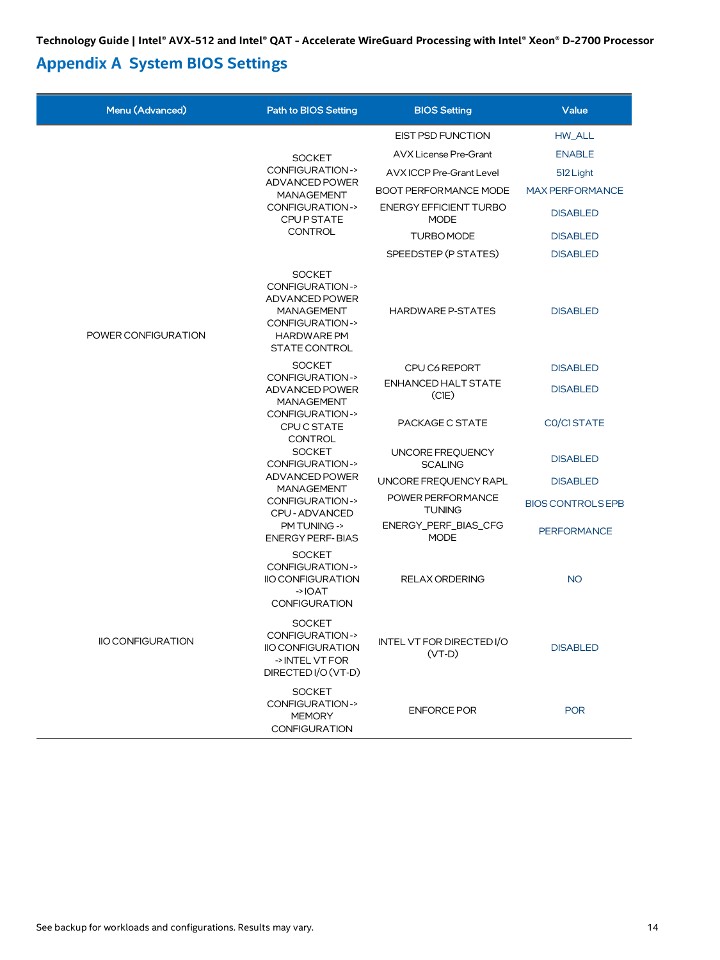# <span id="page-13-0"></span>**Appendix A System BIOS Settings**

| Menu (Advanced)          | <b>Path to BIOS Setting</b>                                                                                                                        | <b>BIOS Setting</b>                          | Value                    |
|--------------------------|----------------------------------------------------------------------------------------------------------------------------------------------------|----------------------------------------------|--------------------------|
|                          |                                                                                                                                                    | <b>EIST PSD FUNCTION</b>                     | HW ALL                   |
|                          | <b>SOCKET</b>                                                                                                                                      | <b>AVX License Pre-Grant</b>                 | <b>ENABLE</b>            |
|                          | <b>CONFIGURATION-&gt;</b>                                                                                                                          | AVX ICCP Pre-Grant Level                     | 512 Light                |
|                          | ADVANCED POWER<br><b>MANAGEMENT</b><br><b>CONFIGURATION-&gt;</b><br><b>CPUP STATE</b><br><b>CONTROL</b>                                            | <b>BOOT PERFORMANCE MODE</b>                 | <b>MAX PERFORMANCE</b>   |
|                          |                                                                                                                                                    | <b>ENERGY EFFICIENT TURBO</b><br><b>MODE</b> | <b>DISABLED</b>          |
|                          |                                                                                                                                                    | TURBO MODE                                   | <b>DISABLED</b>          |
|                          |                                                                                                                                                    | SPEEDSTEP (P STATES)                         | <b>DISABLED</b>          |
| POWER CONFIGURATION      | <b>SOCKET</b><br><b>CONFIGURATION-&gt;</b><br>ADVANCED POWER<br><b>MANAGEMENT</b><br>CONFIGURATION-><br><b>HARDWARE PM</b><br><b>STATE CONTROL</b> | <b>HARDWARE P-STATES</b>                     | <b>DISABLED</b>          |
|                          | <b>SOCKET</b>                                                                                                                                      | CPU C6 REPORT                                | <b>DISABLED</b>          |
|                          | <b>CONFIGURATION-&gt;</b><br>ADVANCED POWER<br><b>MANAGEMENT</b><br>CONFIGURATION-><br><b>CPUC STATE</b><br><b>CONTROL</b>                         | ENHANCED HALT STATE<br>(CIE)                 | <b>DISABLED</b>          |
|                          |                                                                                                                                                    | PACKAGE C STATE                              | CO/CISTATE               |
|                          | <b>SOCKET</b><br>CONFIGURATION->                                                                                                                   | UNCORE FREQUENCY<br><b>SCALING</b>           | <b>DISABLED</b>          |
|                          | ADVANCED POWER<br><b>MANAGEMENT</b><br>CONFIGURATION-><br>CPU - ADVANCED                                                                           | UNCORE FREQUENCY RAPL                        | <b>DISABLED</b>          |
|                          |                                                                                                                                                    | POWER PERFORMANCE<br><b>TUNING</b>           | <b>BIOS CONTROLS EPB</b> |
|                          | PM TUNING -><br><b>ENERGY PERF-BIAS</b>                                                                                                            | ENERGY_PERF_BIAS_CFG<br><b>MODE</b>          | <b>PERFORMANCE</b>       |
|                          | <b>SOCKET</b><br><b>CONFIGURATION-&gt;</b><br><b>IIO CONFIGURATION</b><br><b>CONFIGURATION</b>                                                     | <b>RELAX ORDERING</b>                        | <b>NO</b>                |
| <b>IIO CONFIGURATION</b> | <b>SOCKET</b><br><b>CONFIGURATION-&gt;</b><br><b>IIO CONFIGURATION</b><br>-> INTEL VT FOR<br>DIRECTED I/O (VT-D)                                   | INTEL VT FOR DIRECTED I/O<br>$(VT-D)$        | <b>DISABLED</b>          |
|                          | <b>SOCKET</b><br>CONFIGURATION-><br><b>MEMORY</b><br><b>CONFIGURATION</b>                                                                          | <b>ENFORCE POR</b>                           | <b>POR</b>               |